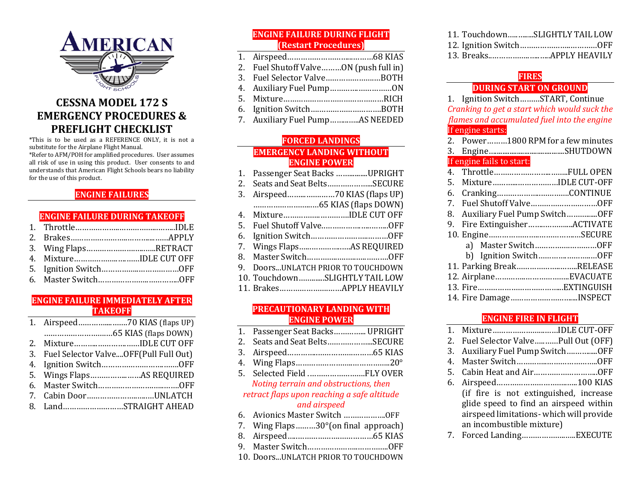

# **CESSNA MODEL 172 S EMERGENCY PROCEDURES & PREFLIGHT CHECKLIST**

\*This is to be used as a REFERENCE ONLY, it is not a substitute for the Airplane Flight Manual.

\*Refer to AFM/POH for amplified procedures. User assumes all risk of use in using this product. User consents to and understands that American Flight Schools bears no liability for the use of this product.

### **ENGINE FAILURES**

### **ENGINE FAILURE DURING TAKEOFF**

| 3. Wing FlapsRETRACT   |  |
|------------------------|--|
| 4. MixtureIDLE CUT OFF |  |
|                        |  |
|                        |  |

### **ENGINE FAILURE IMMEDIATELY AFTER TAKEOFF**

| 2. MixtureIDLE CUT OFF                   |
|------------------------------------------|
| 3. Fuel Selector ValveOFF(Pull Full Out) |
|                                          |
|                                          |
|                                          |
| 7. Cabin DoorUNLATCH                     |
| 8. LandSTRAIGHT AHEAD                    |

### **ENGINE FAILURE DURING FLIGHT (Restart Procedures)**

- 1. Airspeed………………………...………68 KIAS
- 2. Fuel Shutoff Valve………ON (push full in)
- 3. Fuel Selector Valve………………….…BOTH
- 4. Auxiliary Fuel Pump………….……………ON
- 5. Mixture………………………………………RICH
- 6. Ignition Switch….……………………….BOTH
- 7. Auxiliary Fuel Pump……...…..AS NEEDED

#### **FORCED LANDINGS EMERGENCY LANDING WITHOUT ENGINE POWER**

| 1.  | Passenger Seat Backs UPRIGHT     |
|-----|----------------------------------|
| 2.  | Seats and Seat BeltsSECURE       |
| 3.  |                                  |
|     |                                  |
| 4.  | MixtureIDLE CUT OFF              |
| .5. |                                  |
| 6.  |                                  |
|     |                                  |
|     |                                  |
| 9.  | Doors UNLATCH PRIOR TO TOUCHDOWN |
|     | 10. TouchdownSLIGHTLY TAIL LOW   |
|     |                                  |
|     |                                  |

#### **PRECAUTIONARY LANDING WITH ENGINE POWER**

- 1. Passenger Seat Backs…………... UPRIGHT
- 2. Seats and Seat Belts………………...SECURE
- 3. Airspeed…………..…………….………65 KIAS
- 4. Wing Flaps……………………..……………..20°
- 5. Selected Field .…………………….FLY OVER *Noting terrain and obstructions, then*

#### *retract flaps upon reaching a safe altitude and airspeed*

- 6. Avionics Master Switch ……………….OFF
- 7. Wing Flaps………30°(on final approach)
- 8. Airspeed…..……………….……………65 KIAS
- 9. Master Switch…………………..…………..OFF
- 10. Doors...UNLATCH PRIOR TO TOUCHDOWN

|  | 11. TouchdownSLIGHTLY TAIL LOW |
|--|--------------------------------|
|  |                                |
|  |                                |

### **FIRES**

#### **DURING START ON GROUND**

|    | 1. Ignition SwitchSTART, Continue            |
|----|----------------------------------------------|
|    | Cranking to get a start which would suck the |
|    | flames and accumulated fuel into the engine  |
|    | If engine starts:                            |
|    | 2. Power1800 RPM for a few minutes           |
| 3. |                                              |
|    | If engine fails to start:                    |
| 4. |                                              |
| 5. | MixtureIDLE CUT-OFF                          |
| 6. |                                              |
| 7. |                                              |
| 8. | Auxiliary Fuel Pump SwitchOFF                |
| 9. | Fire ExtinguisherACTIVATE                    |
|    |                                              |
|    | a) Master SwitchOFF                          |
|    | b) Ignition SwitchOFF                        |
|    | 11. Parking BreakRELEASE                     |
|    |                                              |
|    |                                              |
|    | 14. Fire DamageINSPECT                       |

#### **ENGINE FIRE IN FLIGHT**

| 1. MixtureIDLE CUT-OFF                                          |
|-----------------------------------------------------------------|
| 2. Fuel Selector ValvePull Out (OFF)                            |
| 3. Auxiliary Fuel Pump SwitchOFF                                |
|                                                                 |
|                                                                 |
|                                                                 |
| (if fire is not extinguished, increase                          |
| glide speed to find an airspeed within                          |
| airspeed limitations- which will provide                        |
| an incombustible mixture)                                       |
| $P_{\text{model}}$ of $P_{\text{model}}$ and $P_{\text{model}}$ |

7. Forced Landing………………..…..EXECUTE